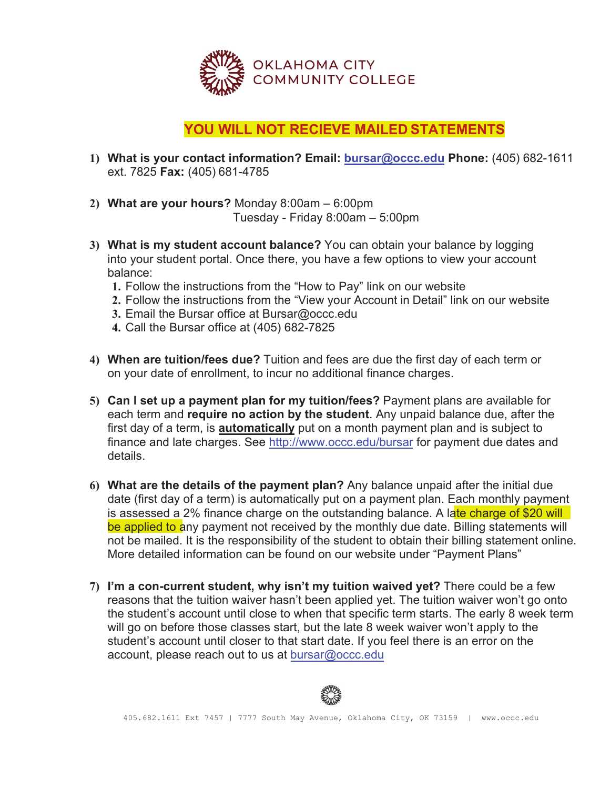

## **YOU WILL NOT RECIEVE MAILED STATEMENTS**

- **What is your contact information? Email: bursar@occc.edu Phone:** (405) 682-1611 ext. 7825 **Fax:** (405) 681-4785
- 2) **What are your hours?** Monday  $8:00$ am  $-6:00$ pm Tuesday - Friday  $8:00$ am – 5:00pm
- **What is my student account balance?** You can obtain your balance by logging into your student portal. Once there, you have a few options to view your account balance:
	- Follow the instructions from the "How to Pay" link on our website
	- Follow the instructions from the "View your Account in Detail" link on our website
	- 3. Email the Bursar office at Bursar@occc.edu
	- Call the Bursar office at (405) 682-7825
- **When are tuition/fees due?** Tuition and fees are due the first day of each term or on your date of enrollment, to incur no additional finance charges.
- **Can I set up a payment plan for my tuition/fees?** Payment plans are available for each term and **require no action by the student**. Any unpaid balance due, after the first day of a term, is **automatically** put on a month payment plan and is subject to finance and late charges. See http://www.occc.edu/bursar for payment due dates and details.
- **What are the details of the payment plan?** Any balance unpaid after the initial due date (first day of a term) is automatically put on a payment plan. Each monthly payment is assessed a 2% finance charge on the outstanding balance. A late charge of \$20 will be applied to any payment not received by the monthly due date. Billing statements will not be mailed. It is the responsibility of the student to obtain their billing statement online. More detailed information can be found on our website under "Payment Plans"
- **I'm a con-current student, why isn't my tuition waived yet?** There could be a few reasons that the tuition waiver hasn't been applied yet. The tuition waiver won't go onto the student's account until close to when that specific term starts. The early 8 week term will go on before those classes start, but the late 8 week waiver won't apply to the student's account until closer to that start date. If you feel there is an error on the account, please reach out to us at bursar@occc.edu

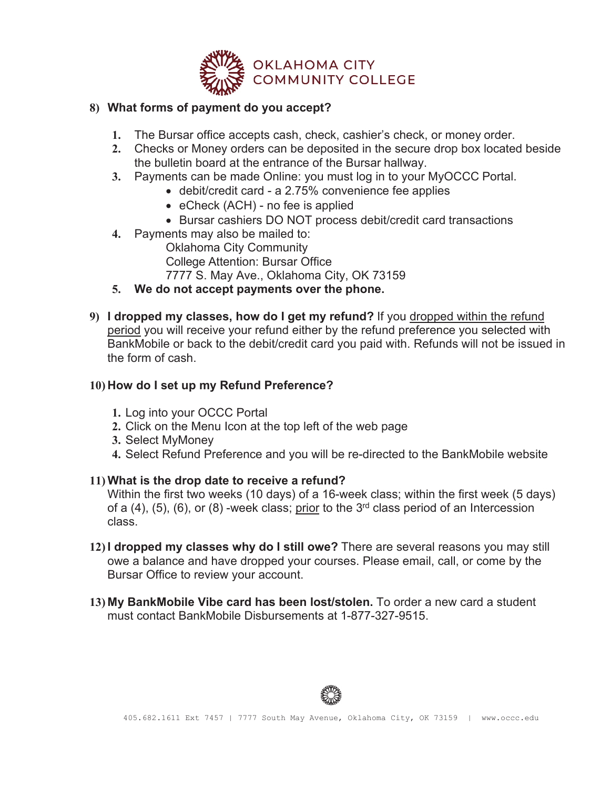

## **8) What forms of payment do you accept?**

- **1.** The Bursar office accepts cash, check, cashier's check, or money order.
- **2.** Checks or Money orders can be deposited in the secure drop box located beside the bulletin board at the entrance of the Bursar hallway.
- **3.** Payments can be made Online: you must log in to your MyOCCC Portal.
	- $\bullet$  debit/credit card a 2.75% convenience fee applies
	- $\bullet$  eCheck (ACH) no fee is applied
	- Bursar cashiers DO NOT process debit/credit card transactions
- **4.** Payments may also be mailed to:
	- Oklahoma City Community
	- College Attention: Bursar Office
	- 7777 S. May Ave., Oklahoma City, OK 73159
- **5. We do not accept payments over the phone.**
- **9) I dropped my classes, how do I get my refund?** If you dropped within the refund period you will receive your refund either by the refund preference you selected with BankMobile or back to the debit/credit card you paid with. Refunds will not be issued in the form of cash.

## **10) How do I set up my Refund Preference?**

- **1.** Log into your OCCC Portal
- **2.** Click on the Menu Icon at the top left of the web page
- **3.** Select MyMoney
- **4.** Select Refund Preference and you will be re-directed to the BankMobile website

## **11) What is the drop date to receive a refund?**

Within the first two weeks (10 days) of a 16-week class; within the first week (5 days) of a  $(4)$ ,  $(5)$ ,  $(6)$ , or  $(8)$  -week class; prior to the 3<sup>rd</sup> class period of an Intercession class.

- **12) I dropped my classes why do I still owe?** There are several reasons you may still owe a balance and have dropped your courses. Please email, call, or come by the Bursar Office to review your account.
- **13) My BankMobile Vibe card has been lost/stolen.** To order a new card a student must contact BankMobile Disbursements at 1-877-327-9515.